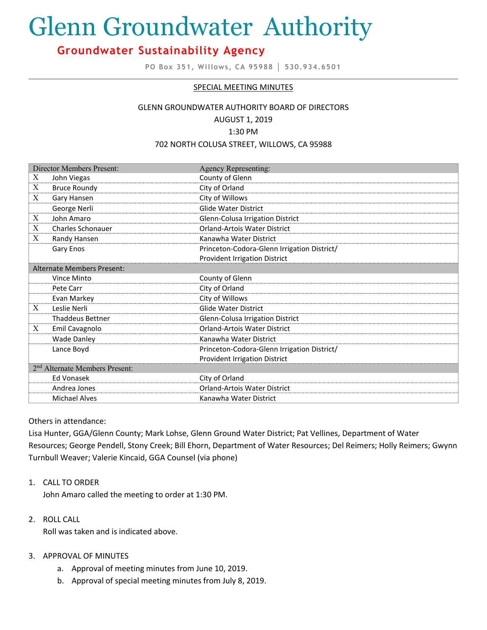# Glenn Groundwater Authority

# **Groundwater Sustainability Agency**

**PO Box 351, Willows, CA 95988 │ 530.934.6501**

#### SPECIAL MEETING MINUTES

# GLENN GROUNDWATER AUTHORITY BOARD OF DIRECTORS AUGUST 1, 2019

## 1:30 PM

#### 702 NORTH COLUSA STREET, WILLOWS, CA 95988

| <b>Director Members Present:</b>           |                          | <b>Agency Representing:</b>                 |
|--------------------------------------------|--------------------------|---------------------------------------------|
| Χ                                          | John Viegas              | County of Glenn                             |
| X                                          | <b>Bruce Roundy</b>      | City of Orland                              |
| X                                          | Gary Hansen              | City of Willows                             |
|                                            | George Nerli             | <b>Glide Water District</b>                 |
| X                                          | John Amaro               | Glenn-Colusa Irrigation District            |
| X                                          | <b>Charles Schonauer</b> | <b>Orland-Artois Water District</b>         |
| X                                          | Randy Hansen             | Kanawha Water District                      |
|                                            | Gary Enos                | Princeton-Codora-Glenn Irrigation District/ |
|                                            |                          | <b>Provident Irrigation District</b>        |
| Alternate Members Present:                 |                          |                                             |
|                                            | Vince Minto              | County of Glenn                             |
|                                            | Pete Carr                | City of Orland                              |
|                                            | Evan Markey              | City of Willows                             |
| X                                          | Leslie Nerli             | <b>Glide Water District</b>                 |
|                                            | <b>Thaddeus Bettner</b>  | Glenn-Colusa Irrigation District            |
| X                                          | Emil Cavagnolo           | <b>Orland-Artois Water District</b>         |
|                                            | <b>Wade Danley</b>       | Kanawha Water District                      |
|                                            | Lance Boyd               | Princeton-Codora-Glenn Irrigation District/ |
|                                            |                          | <b>Provident Irrigation District</b>        |
| 2 <sup>nd</sup> Alternate Members Present: |                          |                                             |
|                                            | Ed Vonasek               | City of Orland                              |
|                                            | Andrea Jones             | Orland-Artois Water District                |
|                                            | <b>Michael Alves</b>     | Kanawha Water District                      |

Others in attendance:

Lisa Hunter, GGA/Glenn County; Mark Lohse, Glenn Ground Water District; Pat Vellines, Department of Water Resources; George Pendell, Stony Creek; Bill Ehorn, Department of Water Resources; Del Reimers; Holly Reimers; Gwynn Turnbull Weaver; Valerie Kincaid, GGA Counsel (via phone)

#### 1. CALL TO ORDER

John Amaro called the meeting to order at 1:30 PM.

2. ROLL CALL

Roll was taken and is indicated above.

#### 3. APPROVAL OF MINUTES

- a. Approval of meeting minutes from June 10, 2019.
- b. Approval of special meeting minutes from July 8, 2019.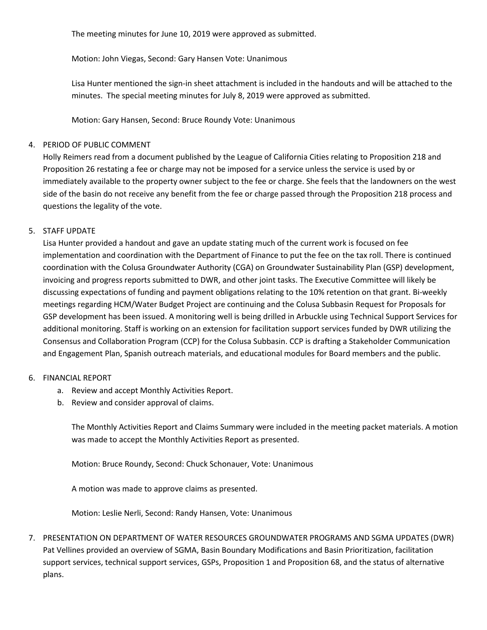The meeting minutes for June 10, 2019 were approved as submitted.

Motion: John Viegas, Second: Gary Hansen Vote: Unanimous

Lisa Hunter mentioned the sign-in sheet attachment is included in the handouts and will be attached to the minutes. The special meeting minutes for July 8, 2019 were approved as submitted.

Motion: Gary Hansen, Second: Bruce Roundy Vote: Unanimous

#### 4. PERIOD OF PUBLIC COMMENT

Holly Reimers read from a document published by the League of California Cities relating to Proposition 218 and Proposition 26 restating a fee or charge may not be imposed for a service unless the service is used by or immediately available to the property owner subject to the fee or charge. She feels that the landowners on the west side of the basin do not receive any benefit from the fee or charge passed through the Proposition 218 process and questions the legality of the vote.

#### 5. STAFF UPDATE

Lisa Hunter provided a handout and gave an update stating much of the current work is focused on fee implementation and coordination with the Department of Finance to put the fee on the tax roll. There is continued coordination with the Colusa Groundwater Authority (CGA) on Groundwater Sustainability Plan (GSP) development, invoicing and progress reports submitted to DWR, and other joint tasks. The Executive Committee will likely be discussing expectations of funding and payment obligations relating to the 10% retention on that grant. Bi-weekly meetings regarding HCM/Water Budget Project are continuing and the Colusa Subbasin Request for Proposals for GSP development has been issued. A monitoring well is being drilled in Arbuckle using Technical Support Services for additional monitoring. Staff is working on an extension for facilitation support services funded by DWR utilizing the Consensus and Collaboration Program (CCP) for the Colusa Subbasin. CCP is drafting a Stakeholder Communication and Engagement Plan, Spanish outreach materials, and educational modules for Board members and the public.

#### 6. FINANCIAL REPORT

- a. Review and accept Monthly Activities Report.
- b. Review and consider approval of claims.

The Monthly Activities Report and Claims Summary were included in the meeting packet materials. A motion was made to accept the Monthly Activities Report as presented.

Motion: Bruce Roundy, Second: Chuck Schonauer, Vote: Unanimous

A motion was made to approve claims as presented.

Motion: Leslie Nerli, Second: Randy Hansen, Vote: Unanimous

7. PRESENTATION ON DEPARTMENT OF WATER RESOURCES GROUNDWATER PROGRAMS AND SGMA UPDATES (DWR) Pat Vellines provided an overview of SGMA, Basin Boundary Modifications and Basin Prioritization, facilitation support services, technical support services, GSPs, Proposition 1 and Proposition 68, and the status of alternative plans.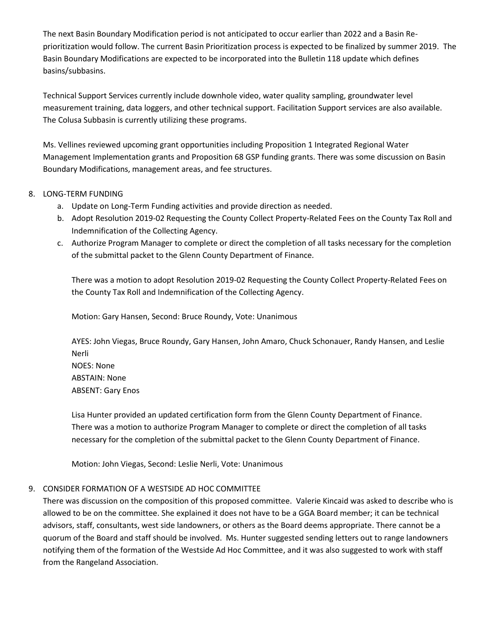The next Basin Boundary Modification period is not anticipated to occur earlier than 2022 and a Basin Reprioritization would follow. The current Basin Prioritization process is expected to be finalized by summer 2019. The Basin Boundary Modifications are expected to be incorporated into the Bulletin 118 update which defines basins/subbasins.

Technical Support Services currently include downhole video, water quality sampling, groundwater level measurement training, data loggers, and other technical support. Facilitation Support services are also available. The Colusa Subbasin is currently utilizing these programs.

Ms. Vellines reviewed upcoming grant opportunities including Proposition 1 Integrated Regional Water Management Implementation grants and Proposition 68 GSP funding grants. There was some discussion on Basin Boundary Modifications, management areas, and fee structures.

#### 8. LONG-TERM FUNDING

- a. Update on Long-Term Funding activities and provide direction as needed.
- b. Adopt Resolution 2019-02 Requesting the County Collect Property-Related Fees on the County Tax Roll and Indemnification of the Collecting Agency.
- c. Authorize Program Manager to complete or direct the completion of all tasks necessary for the completion of the submittal packet to the Glenn County Department of Finance.

There was a motion to adopt Resolution 2019-02 Requesting the County Collect Property-Related Fees on the County Tax Roll and Indemnification of the Collecting Agency.

Motion: Gary Hansen, Second: Bruce Roundy, Vote: Unanimous

AYES: John Viegas, Bruce Roundy, Gary Hansen, John Amaro, Chuck Schonauer, Randy Hansen, and Leslie Nerli NOES: None ABSTAIN: None ABSENT: Gary Enos

Lisa Hunter provided an updated certification form from the Glenn County Department of Finance. There was a motion to authorize Program Manager to complete or direct the completion of all tasks necessary for the completion of the submittal packet to the Glenn County Department of Finance.

Motion: John Viegas, Second: Leslie Nerli, Vote: Unanimous

#### 9. CONSIDER FORMATION OF A WESTSIDE AD HOC COMMITTEE

There was discussion on the composition of this proposed committee. Valerie Kincaid was asked to describe who is allowed to be on the committee. She explained it does not have to be a GGA Board member; it can be technical advisors, staff, consultants, west side landowners, or others as the Board deems appropriate. There cannot be a quorum of the Board and staff should be involved. Ms. Hunter suggested sending letters out to range landowners notifying them of the formation of the Westside Ad Hoc Committee, and it was also suggested to work with staff from the Rangeland Association.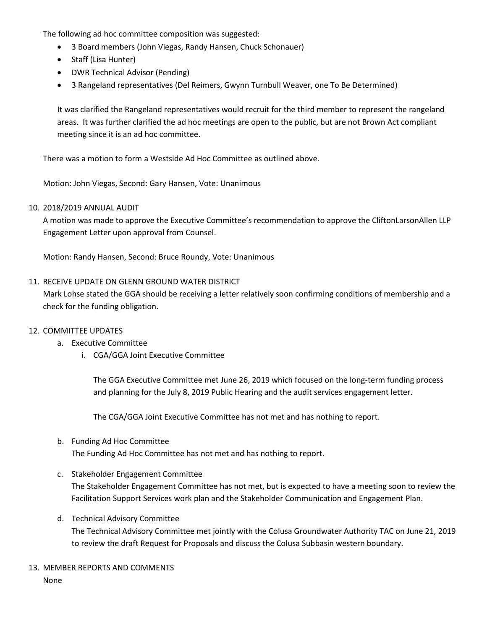The following ad hoc committee composition was suggested:

- 3 Board members (John Viegas, Randy Hansen, Chuck Schonauer)
- Staff (Lisa Hunter)
- DWR Technical Advisor (Pending)
- 3 Rangeland representatives (Del Reimers, Gwynn Turnbull Weaver, one To Be Determined)

It was clarified the Rangeland representatives would recruit for the third member to represent the rangeland areas. It was further clarified the ad hoc meetings are open to the public, but are not Brown Act compliant meeting since it is an ad hoc committee.

There was a motion to form a Westside Ad Hoc Committee as outlined above.

Motion: John Viegas, Second: Gary Hansen, Vote: Unanimous

#### 10. 2018/2019 ANNUAL AUDIT

A motion was made to approve the Executive Committee's recommendation to approve the CliftonLarsonAllen LLP Engagement Letter upon approval from Counsel.

Motion: Randy Hansen, Second: Bruce Roundy, Vote: Unanimous

#### 11. RECEIVE UPDATE ON GLENN GROUND WATER DISTRICT

Mark Lohse stated the GGA should be receiving a letter relatively soon confirming conditions of membership and a check for the funding obligation.

#### 12. COMMITTEE UPDATES

- a. Executive Committee
	- i. CGA/GGA Joint Executive Committee

The GGA Executive Committee met June 26, 2019 which focused on the long-term funding process and planning for the July 8, 2019 Public Hearing and the audit services engagement letter.

The CGA/GGA Joint Executive Committee has not met and has nothing to report.

# b. Funding Ad Hoc Committee

The Funding Ad Hoc Committee has not met and has nothing to report.

#### c. Stakeholder Engagement Committee

The Stakeholder Engagement Committee has not met, but is expected to have a meeting soon to review the Facilitation Support Services work plan and the Stakeholder Communication and Engagement Plan.

d. Technical Advisory Committee

The Technical Advisory Committee met jointly with the Colusa Groundwater Authority TAC on June 21, 2019 to review the draft Request for Proposals and discuss the Colusa Subbasin western boundary.

13. MEMBER REPORTS AND COMMENTS None